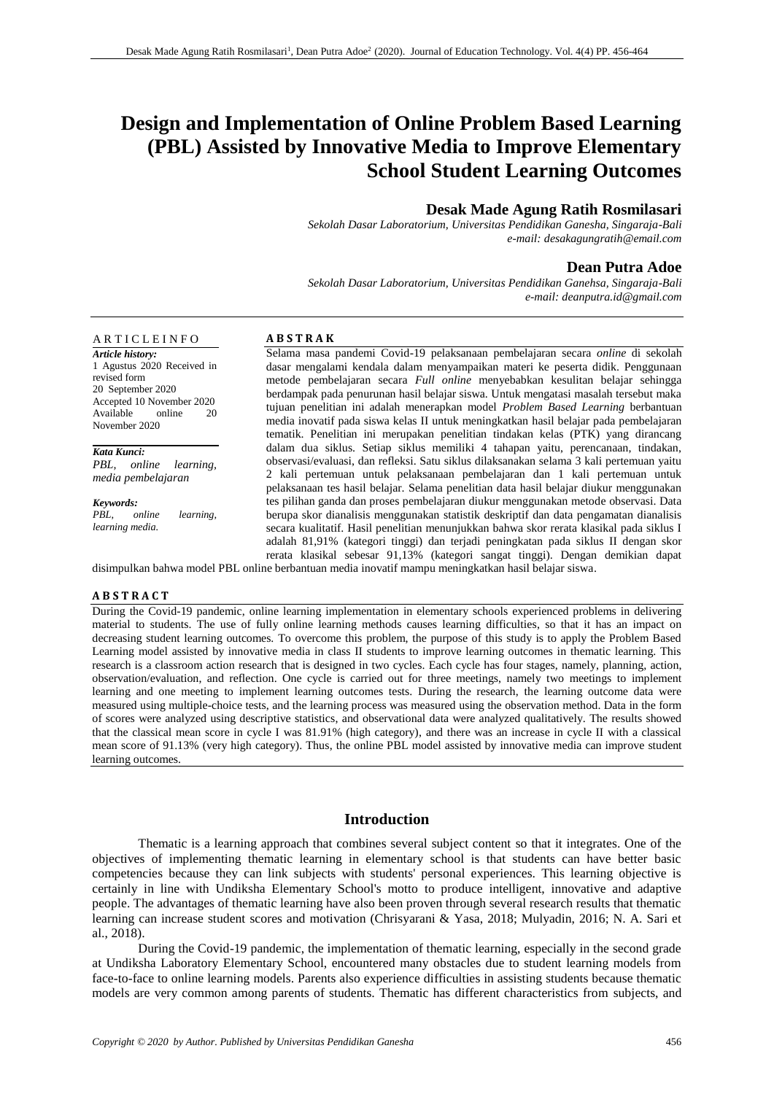# **Design and Implementation of Online Problem Based Learning (PBL) Assisted by Innovative Media to Improve Elementary School Student Learning Outcomes**

# **Desak Made Agung Ratih Rosmilasari**

*Sekolah Dasar Laboratorium, Universitas Pendidikan Ganesha, Singaraja-Bali e-mail[: desakagungratih@email.com](mailto:desakagungratih@email.com)*

## **Dean Putra Adoe**

*Sekolah Dasar Laboratorium, Universitas Pendidikan Ganehsa, Singaraja-Bali e-mail: deanputra.id@gmail.com*

#### A R T I C L E I N F O

*Article history:* 1 Agustus 2020 Received in revised form 20 September 2020 Accepted 10 November 2020 Available online 20 November 2020

*Kata Kunci: PBL, online learning, media pembelajaran*

*Keywords: PBL, online learning, learning media.*

#### **A B S T R A K**

Selama masa pandemi Covid-19 pelaksanaan pembelajaran secara *online* di sekolah dasar mengalami kendala dalam menyampaikan materi ke peserta didik. Penggunaan metode pembelajaran secara *Full online* menyebabkan kesulitan belajar sehingga berdampak pada penurunan hasil belajar siswa. Untuk mengatasi masalah tersebut maka tujuan penelitian ini adalah menerapkan model *Problem Based Learning* berbantuan media inovatif pada siswa kelas II untuk meningkatkan hasil belajar pada pembelajaran tematik. Penelitian ini merupakan penelitian tindakan kelas (PTK) yang dirancang dalam dua siklus. Setiap siklus memiliki 4 tahapan yaitu, perencanaan, tindakan, observasi/evaluasi, dan refleksi. Satu siklus dilaksanakan selama 3 kali pertemuan yaitu 2 kali pertemuan untuk pelaksanaan pembelajaran dan 1 kali pertemuan untuk pelaksanaan tes hasil belajar. Selama penelitian data hasil belajar diukur menggunakan tes pilihan ganda dan proses pembelajaran diukur menggunakan metode observasi. Data berupa skor dianalisis menggunakan statistik deskriptif dan data pengamatan dianalisis secara kualitatif. Hasil penelitian menunjukkan bahwa skor rerata klasikal pada siklus I adalah 81,91% (kategori tinggi) dan terjadi peningkatan pada siklus II dengan skor rerata klasikal sebesar 91,13% (kategori sangat tinggi). Dengan demikian dapat

disimpulkan bahwa model PBL online berbantuan media inovatif mampu meningkatkan hasil belajar siswa.

#### **A B S T R A C T**

During the Covid-19 pandemic, online learning implementation in elementary schools experienced problems in delivering material to students. The use of fully online learning methods causes learning difficulties, so that it has an impact on decreasing student learning outcomes. To overcome this problem, the purpose of this study is to apply the Problem Based Learning model assisted by innovative media in class II students to improve learning outcomes in thematic learning. This research is a classroom action research that is designed in two cycles. Each cycle has four stages, namely, planning, action, observation/evaluation, and reflection. One cycle is carried out for three meetings, namely two meetings to implement learning and one meeting to implement learning outcomes tests. During the research, the learning outcome data were measured using multiple-choice tests, and the learning process was measured using the observation method. Data in the form of scores were analyzed using descriptive statistics, and observational data were analyzed qualitatively. The results showed that the classical mean score in cycle I was 81.91% (high category), and there was an increase in cycle II with a classical mean score of 91.13% (very high category). Thus, the online PBL model assisted by innovative media can improve student learning outcomes.

#### **Introduction**

Thematic is a learning approach that combines several subject content so that it integrates. One of the objectives of implementing thematic learning in elementary school is that students can have better basic competencies because they can link subjects with students' personal experiences. This learning objective is certainly in line with Undiksha Elementary School's motto to produce intelligent, innovative and adaptive people. The advantages of thematic learning have also been proven through several research results that thematic learning can increase student scores and motivation (Chrisyarani & Yasa, 2018; Mulyadin, 2016; N. A. Sari et al., 2018).

During the Covid-19 pandemic, the implementation of thematic learning, especially in the second grade at Undiksha Laboratory Elementary School, encountered many obstacles due to student learning models from face-to-face to online learning models. Parents also experience difficulties in assisting students because thematic models are very common among parents of students. Thematic has different characteristics from subjects, and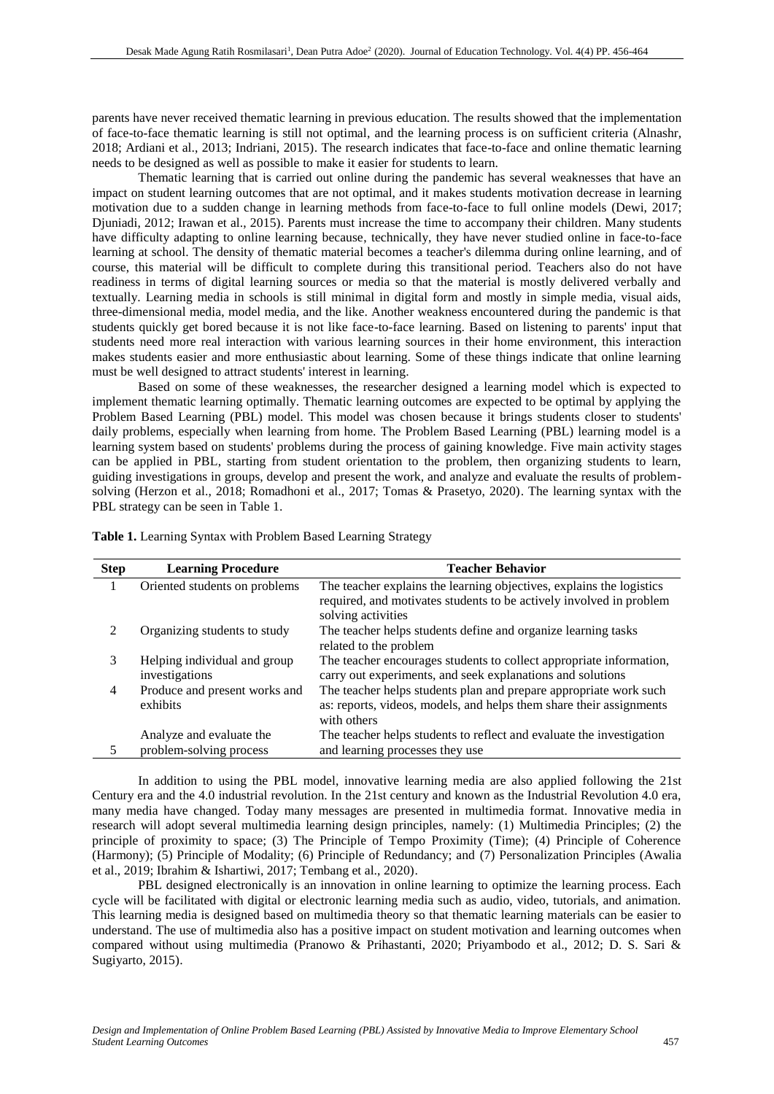parents have never received thematic learning in previous education. The results showed that the implementation of face-to-face thematic learning is still not optimal, and the learning process is on sufficient criteria (Alnashr, 2018; Ardiani et al., 2013; Indriani, 2015). The research indicates that face-to-face and online thematic learning needs to be designed as well as possible to make it easier for students to learn.

Thematic learning that is carried out online during the pandemic has several weaknesses that have an impact on student learning outcomes that are not optimal, and it makes students motivation decrease in learning motivation due to a sudden change in learning methods from face-to-face to full online models (Dewi, 2017; Djuniadi, 2012; Irawan et al., 2015). Parents must increase the time to accompany their children. Many students have difficulty adapting to online learning because, technically, they have never studied online in face-to-face learning at school. The density of thematic material becomes a teacher's dilemma during online learning, and of course, this material will be difficult to complete during this transitional period. Teachers also do not have readiness in terms of digital learning sources or media so that the material is mostly delivered verbally and textually. Learning media in schools is still minimal in digital form and mostly in simple media, visual aids, three-dimensional media, model media, and the like. Another weakness encountered during the pandemic is that students quickly get bored because it is not like face-to-face learning. Based on listening to parents' input that students need more real interaction with various learning sources in their home environment, this interaction makes students easier and more enthusiastic about learning. Some of these things indicate that online learning must be well designed to attract students' interest in learning.

Based on some of these weaknesses, the researcher designed a learning model which is expected to implement thematic learning optimally. Thematic learning outcomes are expected to be optimal by applying the Problem Based Learning (PBL) model. This model was chosen because it brings students closer to students' daily problems, especially when learning from home. The Problem Based Learning (PBL) learning model is a learning system based on students' problems during the process of gaining knowledge. Five main activity stages can be applied in PBL, starting from student orientation to the problem, then organizing students to learn, guiding investigations in groups, develop and present the work, and analyze and evaluate the results of problemsolving (Herzon et al., 2018; Romadhoni et al., 2017; Tomas & Prasetyo, 2020). The learning syntax with the PBL strategy can be seen in Table 1.

| Table 1. Learning Syntax with Problem Based Learning Strategy |  |
|---------------------------------------------------------------|--|
|                                                               |  |

| <b>Step</b> | <b>Learning Procedure</b>                      | <b>Teacher Behavior</b>                                                                                                                                           |
|-------------|------------------------------------------------|-------------------------------------------------------------------------------------------------------------------------------------------------------------------|
|             | Oriented students on problems                  | The teacher explains the learning objectives, explains the logistics<br>required, and motivates students to be actively involved in problem<br>solving activities |
| 2           | Organizing students to study                   | The teacher helps students define and organize learning tasks<br>related to the problem                                                                           |
| 3           | Helping individual and group<br>investigations | The teacher encourages students to collect appropriate information,<br>carry out experiments, and seek explanations and solutions                                 |
| 4           | Produce and present works and<br>exhibits      | The teacher helps students plan and prepare appropriate work such<br>as: reports, videos, models, and helps them share their assignments<br>with others           |
|             | Analyze and evaluate the                       | The teacher helps students to reflect and evaluate the investigation                                                                                              |
| 5           | problem-solving process                        | and learning processes they use                                                                                                                                   |

In addition to using the PBL model, innovative learning media are also applied following the 21st Century era and the 4.0 industrial revolution. In the 21st century and known as the Industrial Revolution 4.0 era, many media have changed. Today many messages are presented in multimedia format. Innovative media in research will adopt several multimedia learning design principles, namely: (1) Multimedia Principles; (2) the principle of proximity to space; (3) The Principle of Tempo Proximity (Time); (4) Principle of Coherence (Harmony); (5) Principle of Modality; (6) Principle of Redundancy; and (7) Personalization Principles (Awalia et al., 2019; Ibrahim & Ishartiwi, 2017; Tembang et al., 2020).

PBL designed electronically is an innovation in online learning to optimize the learning process. Each cycle will be facilitated with digital or electronic learning media such as audio, video, tutorials, and animation. This learning media is designed based on multimedia theory so that thematic learning materials can be easier to understand. The use of multimedia also has a positive impact on student motivation and learning outcomes when compared without using multimedia (Pranowo & Prihastanti, 2020; Priyambodo et al., 2012; D. S. Sari & Sugiyarto, 2015).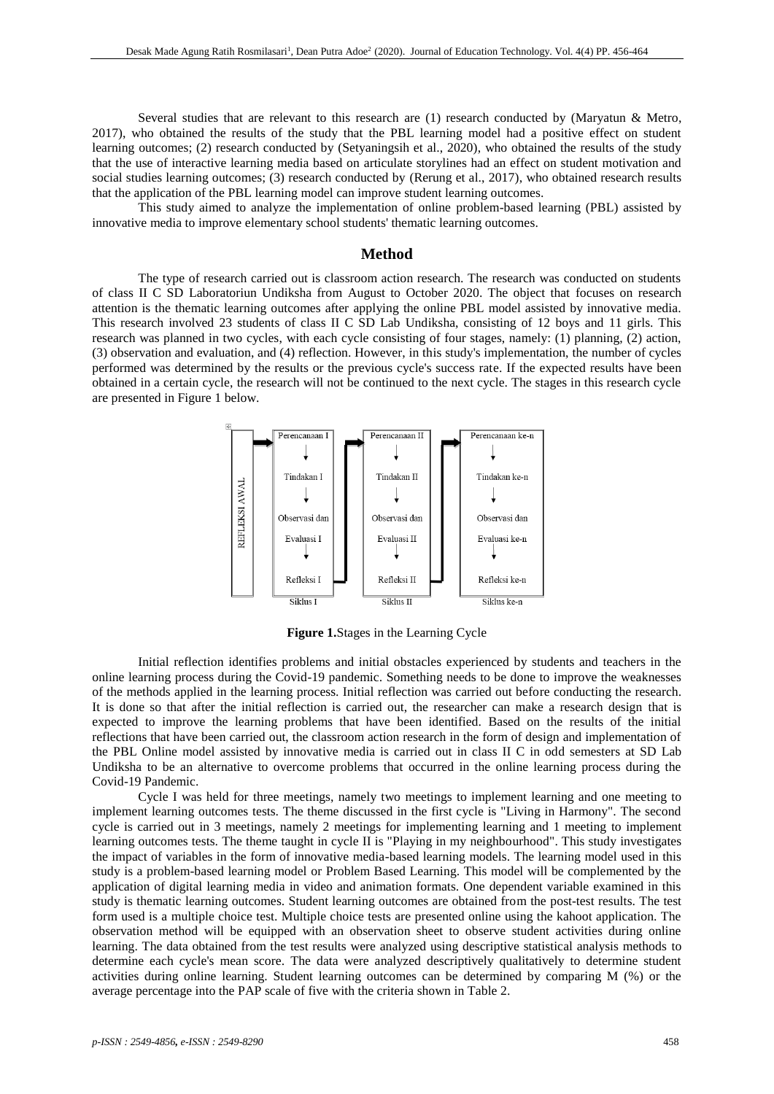Several studies that are relevant to this research are (1) research conducted by (Maryatun & Metro, 2017), who obtained the results of the study that the PBL learning model had a positive effect on student learning outcomes; (2) research conducted by (Setyaningsih et al., 2020), who obtained the results of the study that the use of interactive learning media based on articulate storylines had an effect on student motivation and social studies learning outcomes; (3) research conducted by (Rerung et al., 2017), who obtained research results that the application of the PBL learning model can improve student learning outcomes.

This study aimed to analyze the implementation of online problem-based learning (PBL) assisted by innovative media to improve elementary school students' thematic learning outcomes.

## **Method**

The type of research carried out is classroom action research. The research was conducted on students of class II C SD Laboratoriun Undiksha from August to October 2020. The object that focuses on research attention is the thematic learning outcomes after applying the online PBL model assisted by innovative media. This research involved 23 students of class II C SD Lab Undiksha, consisting of 12 boys and 11 girls. This research was planned in two cycles, with each cycle consisting of four stages, namely: (1) planning, (2) action, (3) observation and evaluation, and (4) reflection. However, in this study's implementation, the number of cycles performed was determined by the results or the previous cycle's success rate. If the expected results have been obtained in a certain cycle, the research will not be continued to the next cycle. The stages in this research cycle are presented in Figure 1 below.



**Figure 1.**Stages in the Learning Cycle

Initial reflection identifies problems and initial obstacles experienced by students and teachers in the online learning process during the Covid-19 pandemic. Something needs to be done to improve the weaknesses of the methods applied in the learning process. Initial reflection was carried out before conducting the research. It is done so that after the initial reflection is carried out, the researcher can make a research design that is expected to improve the learning problems that have been identified. Based on the results of the initial reflections that have been carried out, the classroom action research in the form of design and implementation of the PBL Online model assisted by innovative media is carried out in class II C in odd semesters at SD Lab Undiksha to be an alternative to overcome problems that occurred in the online learning process during the Covid-19 Pandemic.

Cycle I was held for three meetings, namely two meetings to implement learning and one meeting to implement learning outcomes tests. The theme discussed in the first cycle is "Living in Harmony". The second cycle is carried out in 3 meetings, namely 2 meetings for implementing learning and 1 meeting to implement learning outcomes tests. The theme taught in cycle II is "Playing in my neighbourhood". This study investigates the impact of variables in the form of innovative media-based learning models. The learning model used in this study is a problem-based learning model or Problem Based Learning. This model will be complemented by the application of digital learning media in video and animation formats. One dependent variable examined in this study is thematic learning outcomes. Student learning outcomes are obtained from the post-test results. The test form used is a multiple choice test. Multiple choice tests are presented online using the kahoot application. The observation method will be equipped with an observation sheet to observe student activities during online learning. The data obtained from the test results were analyzed using descriptive statistical analysis methods to determine each cycle's mean score. The data were analyzed descriptively qualitatively to determine student activities during online learning. Student learning outcomes can be determined by comparing M (%) or the average percentage into the PAP scale of five with the criteria shown in Table 2.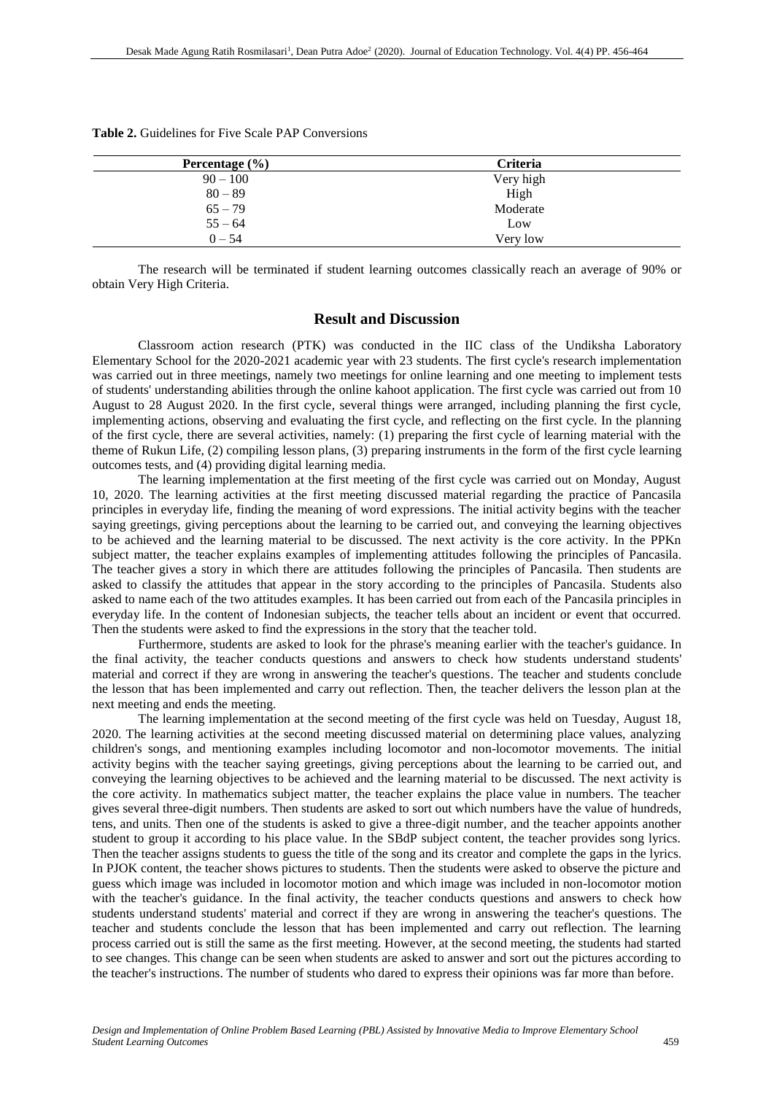|  |  |  |  |  |  | <b>Table 2.</b> Guidelines for Five Scale PAP Conversions |
|--|--|--|--|--|--|-----------------------------------------------------------|
|--|--|--|--|--|--|-----------------------------------------------------------|

| Percentage $(\% )$ | <b>Criteria</b> |
|--------------------|-----------------|
| $90 - 100$         | Very high       |
| $80 - 89$          | High            |
| $65 - 79$          | Moderate        |
| $55 - 64$          | Low             |
| $0 - 54$           | Very low        |

The research will be terminated if student learning outcomes classically reach an average of 90% or obtain Very High Criteria.

# **Result and Discussion**

Classroom action research (PTK) was conducted in the IIC class of the Undiksha Laboratory Elementary School for the 2020-2021 academic year with 23 students. The first cycle's research implementation was carried out in three meetings, namely two meetings for online learning and one meeting to implement tests of students' understanding abilities through the online kahoot application. The first cycle was carried out from 10 August to 28 August 2020. In the first cycle, several things were arranged, including planning the first cycle, implementing actions, observing and evaluating the first cycle, and reflecting on the first cycle. In the planning of the first cycle, there are several activities, namely: (1) preparing the first cycle of learning material with the theme of Rukun Life, (2) compiling lesson plans, (3) preparing instruments in the form of the first cycle learning outcomes tests, and (4) providing digital learning media.

The learning implementation at the first meeting of the first cycle was carried out on Monday, August 10, 2020. The learning activities at the first meeting discussed material regarding the practice of Pancasila principles in everyday life, finding the meaning of word expressions. The initial activity begins with the teacher saying greetings, giving perceptions about the learning to be carried out, and conveying the learning objectives to be achieved and the learning material to be discussed. The next activity is the core activity. In the PPKn subject matter, the teacher explains examples of implementing attitudes following the principles of Pancasila. The teacher gives a story in which there are attitudes following the principles of Pancasila. Then students are asked to classify the attitudes that appear in the story according to the principles of Pancasila. Students also asked to name each of the two attitudes examples. It has been carried out from each of the Pancasila principles in everyday life. In the content of Indonesian subjects, the teacher tells about an incident or event that occurred. Then the students were asked to find the expressions in the story that the teacher told.

Furthermore, students are asked to look for the phrase's meaning earlier with the teacher's guidance. In the final activity, the teacher conducts questions and answers to check how students understand students' material and correct if they are wrong in answering the teacher's questions. The teacher and students conclude the lesson that has been implemented and carry out reflection. Then, the teacher delivers the lesson plan at the next meeting and ends the meeting.

The learning implementation at the second meeting of the first cycle was held on Tuesday, August 18, 2020. The learning activities at the second meeting discussed material on determining place values, analyzing children's songs, and mentioning examples including locomotor and non-locomotor movements. The initial activity begins with the teacher saying greetings, giving perceptions about the learning to be carried out, and conveying the learning objectives to be achieved and the learning material to be discussed. The next activity is the core activity. In mathematics subject matter, the teacher explains the place value in numbers. The teacher gives several three-digit numbers. Then students are asked to sort out which numbers have the value of hundreds, tens, and units. Then one of the students is asked to give a three-digit number, and the teacher appoints another student to group it according to his place value. In the SBdP subject content, the teacher provides song lyrics. Then the teacher assigns students to guess the title of the song and its creator and complete the gaps in the lyrics. In PJOK content, the teacher shows pictures to students. Then the students were asked to observe the picture and guess which image was included in locomotor motion and which image was included in non-locomotor motion with the teacher's guidance. In the final activity, the teacher conducts questions and answers to check how students understand students' material and correct if they are wrong in answering the teacher's questions. The teacher and students conclude the lesson that has been implemented and carry out reflection. The learning process carried out is still the same as the first meeting. However, at the second meeting, the students had started to see changes. This change can be seen when students are asked to answer and sort out the pictures according to the teacher's instructions. The number of students who dared to express their opinions was far more than before.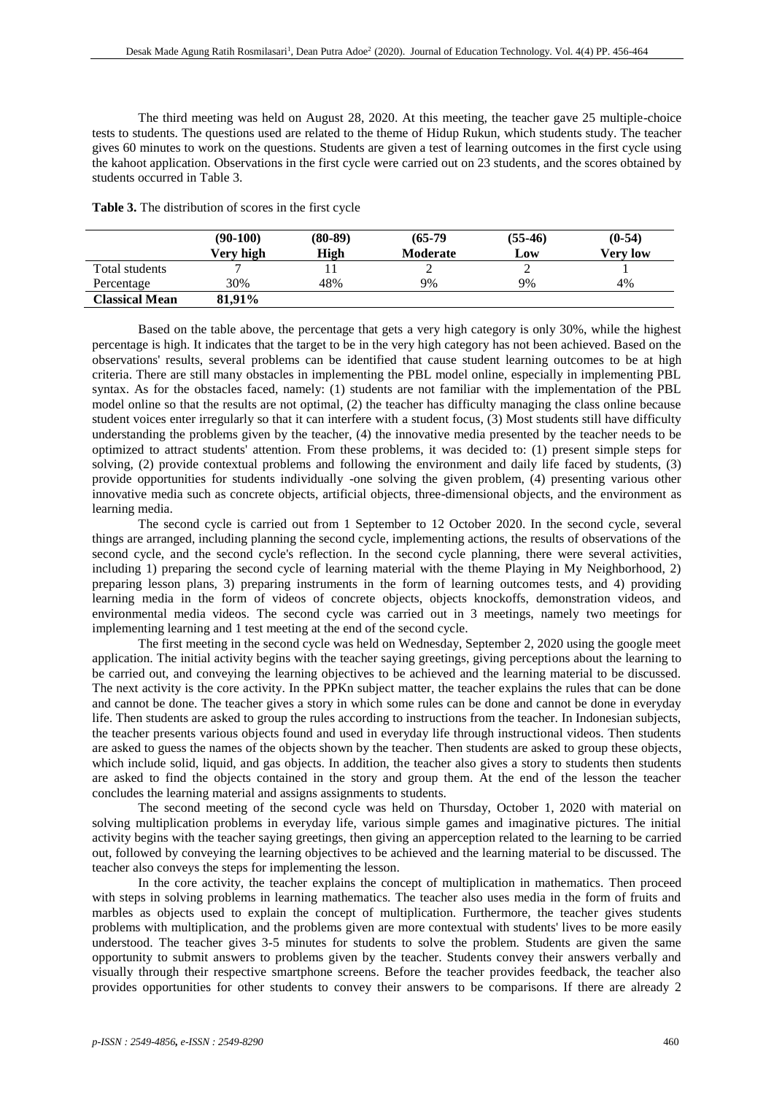The third meeting was held on August 28, 2020. At this meeting, the teacher gave 25 multiple-choice tests to students. The questions used are related to the theme of Hidup Rukun, which students study. The teacher gives 60 minutes to work on the questions. Students are given a test of learning outcomes in the first cycle using the kahoot application. Observations in the first cycle were carried out on 23 students, and the scores obtained by students occurred in Table 3.

**Table 3.** The distribution of scores in the first cycle

|                | $(90-100)$ | $(80-89)$ | $(65-79)$       | $(55-46)$ | $(0-54)$ |
|----------------|------------|-----------|-----------------|-----------|----------|
|                | Very high  | High      | <b>Moderate</b> | Low       | Verv low |
| Total students |            |           |                 |           |          |
| Percentage     | 30%        | 48%       | 9%              | 9%        | 4%       |
| Classical Mean | 81.91%     |           |                 |           |          |

Based on the table above, the percentage that gets a very high category is only 30%, while the highest percentage is high. It indicates that the target to be in the very high category has not been achieved. Based on the observations' results, several problems can be identified that cause student learning outcomes to be at high criteria. There are still many obstacles in implementing the PBL model online, especially in implementing PBL syntax. As for the obstacles faced, namely: (1) students are not familiar with the implementation of the PBL model online so that the results are not optimal, (2) the teacher has difficulty managing the class online because student voices enter irregularly so that it can interfere with a student focus, (3) Most students still have difficulty understanding the problems given by the teacher, (4) the innovative media presented by the teacher needs to be optimized to attract students' attention. From these problems, it was decided to: (1) present simple steps for solving, (2) provide contextual problems and following the environment and daily life faced by students, (3) provide opportunities for students individually -one solving the given problem, (4) presenting various other innovative media such as concrete objects, artificial objects, three-dimensional objects, and the environment as learning media.

The second cycle is carried out from 1 September to 12 October 2020. In the second cycle, several things are arranged, including planning the second cycle, implementing actions, the results of observations of the second cycle, and the second cycle's reflection. In the second cycle planning, there were several activities, including 1) preparing the second cycle of learning material with the theme Playing in My Neighborhood, 2) preparing lesson plans, 3) preparing instruments in the form of learning outcomes tests, and 4) providing learning media in the form of videos of concrete objects, objects knockoffs, demonstration videos, and environmental media videos. The second cycle was carried out in 3 meetings, namely two meetings for implementing learning and 1 test meeting at the end of the second cycle.

The first meeting in the second cycle was held on Wednesday, September 2, 2020 using the google meet application. The initial activity begins with the teacher saying greetings, giving perceptions about the learning to be carried out, and conveying the learning objectives to be achieved and the learning material to be discussed. The next activity is the core activity. In the PPKn subject matter, the teacher explains the rules that can be done and cannot be done. The teacher gives a story in which some rules can be done and cannot be done in everyday life. Then students are asked to group the rules according to instructions from the teacher. In Indonesian subjects, the teacher presents various objects found and used in everyday life through instructional videos. Then students are asked to guess the names of the objects shown by the teacher. Then students are asked to group these objects, which include solid, liquid, and gas objects. In addition, the teacher also gives a story to students then students are asked to find the objects contained in the story and group them. At the end of the lesson the teacher concludes the learning material and assigns assignments to students.

The second meeting of the second cycle was held on Thursday, October 1, 2020 with material on solving multiplication problems in everyday life, various simple games and imaginative pictures. The initial activity begins with the teacher saying greetings, then giving an apperception related to the learning to be carried out, followed by conveying the learning objectives to be achieved and the learning material to be discussed. The teacher also conveys the steps for implementing the lesson.

In the core activity, the teacher explains the concept of multiplication in mathematics. Then proceed with steps in solving problems in learning mathematics. The teacher also uses media in the form of fruits and marbles as objects used to explain the concept of multiplication. Furthermore, the teacher gives students problems with multiplication, and the problems given are more contextual with students' lives to be more easily understood. The teacher gives 3-5 minutes for students to solve the problem. Students are given the same opportunity to submit answers to problems given by the teacher. Students convey their answers verbally and visually through their respective smartphone screens. Before the teacher provides feedback, the teacher also provides opportunities for other students to convey their answers to be comparisons. If there are already 2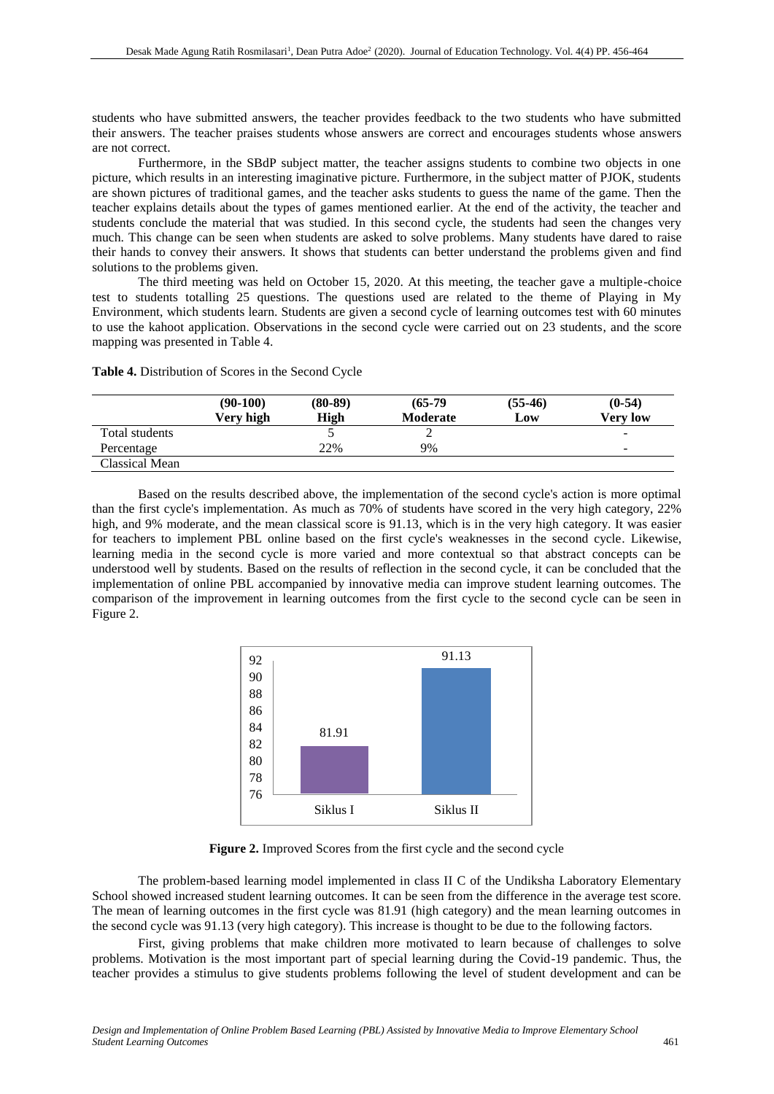students who have submitted answers, the teacher provides feedback to the two students who have submitted their answers. The teacher praises students whose answers are correct and encourages students whose answers are not correct.

Furthermore, in the SBdP subject matter, the teacher assigns students to combine two objects in one picture, which results in an interesting imaginative picture. Furthermore, in the subject matter of PJOK, students are shown pictures of traditional games, and the teacher asks students to guess the name of the game. Then the teacher explains details about the types of games mentioned earlier. At the end of the activity, the teacher and students conclude the material that was studied. In this second cycle, the students had seen the changes very much. This change can be seen when students are asked to solve problems. Many students have dared to raise their hands to convey their answers. It shows that students can better understand the problems given and find solutions to the problems given.

The third meeting was held on October 15, 2020. At this meeting, the teacher gave a multiple-choice test to students totalling 25 questions. The questions used are related to the theme of Playing in My Environment, which students learn. Students are given a second cycle of learning outcomes test with 60 minutes to use the kahoot application. Observations in the second cycle were carried out on 23 students, and the score mapping was presented in Table 4.

**Table 4.** Distribution of Scores in the Second Cycle

|                | $(90-100)$<br>Very high | $(80-89)$<br><b>High</b> | $(65-79)$<br><b>Moderate</b> | $(55-46)$<br>Low | $(0-54)$<br><b>Very low</b> |
|----------------|-------------------------|--------------------------|------------------------------|------------------|-----------------------------|
| Total students |                         | ັ                        | ∸                            |                  | -                           |
| Percentage     |                         | 22%                      | 9%                           |                  | $\overline{\phantom{a}}$    |
| Classical Mean |                         |                          |                              |                  |                             |

Based on the results described above, the implementation of the second cycle's action is more optimal than the first cycle's implementation. As much as 70% of students have scored in the very high category, 22% high, and 9% moderate, and the mean classical score is 91.13, which is in the very high category. It was easier for teachers to implement PBL online based on the first cycle's weaknesses in the second cycle. Likewise, learning media in the second cycle is more varied and more contextual so that abstract concepts can be understood well by students. Based on the results of reflection in the second cycle, it can be concluded that the implementation of online PBL accompanied by innovative media can improve student learning outcomes. The comparison of the improvement in learning outcomes from the first cycle to the second cycle can be seen in Figure 2.



**Figure 2.** Improved Scores from the first cycle and the second cycle

The problem-based learning model implemented in class II C of the Undiksha Laboratory Elementary School showed increased student learning outcomes. It can be seen from the difference in the average test score. The mean of learning outcomes in the first cycle was 81.91 (high category) and the mean learning outcomes in the second cycle was 91.13 (very high category). This increase is thought to be due to the following factors.

First, giving problems that make children more motivated to learn because of challenges to solve problems. Motivation is the most important part of special learning during the Covid-19 pandemic. Thus, the teacher provides a stimulus to give students problems following the level of student development and can be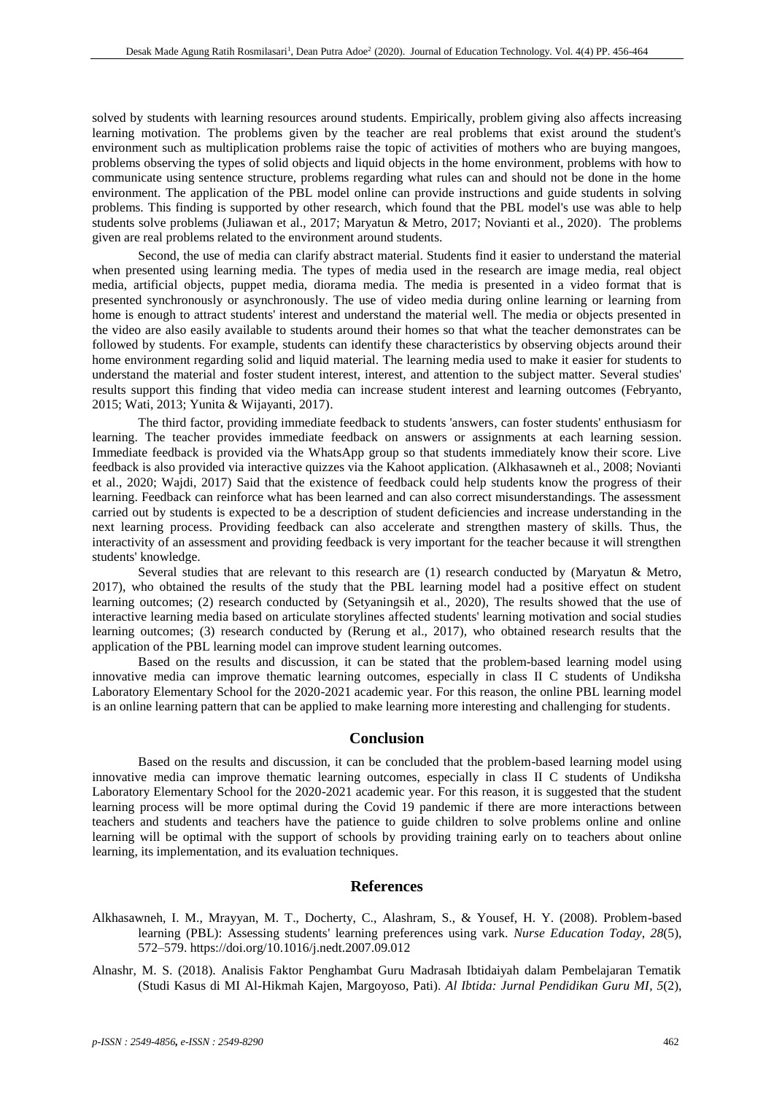solved by students with learning resources around students. Empirically, problem giving also affects increasing learning motivation. The problems given by the teacher are real problems that exist around the student's environment such as multiplication problems raise the topic of activities of mothers who are buying mangoes, problems observing the types of solid objects and liquid objects in the home environment, problems with how to communicate using sentence structure, problems regarding what rules can and should not be done in the home environment. The application of the PBL model online can provide instructions and guide students in solving problems. This finding is supported by other research, which found that the PBL model's use was able to help students solve problems (Juliawan et al., 2017; Maryatun & Metro, 2017; Novianti et al., 2020). The problems given are real problems related to the environment around students.

Second, the use of media can clarify abstract material. Students find it easier to understand the material when presented using learning media. The types of media used in the research are image media, real object media, artificial objects, puppet media, diorama media. The media is presented in a video format that is presented synchronously or asynchronously. The use of video media during online learning or learning from home is enough to attract students' interest and understand the material well. The media or objects presented in the video are also easily available to students around their homes so that what the teacher demonstrates can be followed by students. For example, students can identify these characteristics by observing objects around their home environment regarding solid and liquid material. The learning media used to make it easier for students to understand the material and foster student interest, interest, and attention to the subject matter. Several studies' results support this finding that video media can increase student interest and learning outcomes (Febryanto, 2015; Wati, 2013; Yunita & Wijayanti, 2017).

The third factor, providing immediate feedback to students 'answers, can foster students' enthusiasm for learning. The teacher provides immediate feedback on answers or assignments at each learning session. Immediate feedback is provided via the WhatsApp group so that students immediately know their score. Live feedback is also provided via interactive quizzes via the Kahoot application. (Alkhasawneh et al., 2008; Novianti et al., 2020; Wajdi, 2017) Said that the existence of feedback could help students know the progress of their learning. Feedback can reinforce what has been learned and can also correct misunderstandings. The assessment carried out by students is expected to be a description of student deficiencies and increase understanding in the next learning process. Providing feedback can also accelerate and strengthen mastery of skills. Thus, the interactivity of an assessment and providing feedback is very important for the teacher because it will strengthen students' knowledge.

Several studies that are relevant to this research are (1) research conducted by (Maryatun & Metro, 2017), who obtained the results of the study that the PBL learning model had a positive effect on student learning outcomes; (2) research conducted by (Setyaningsih et al., 2020), The results showed that the use of interactive learning media based on articulate storylines affected students' learning motivation and social studies learning outcomes; (3) research conducted by (Rerung et al., 2017), who obtained research results that the application of the PBL learning model can improve student learning outcomes.

Based on the results and discussion, it can be stated that the problem-based learning model using innovative media can improve thematic learning outcomes, especially in class II C students of Undiksha Laboratory Elementary School for the 2020-2021 academic year. For this reason, the online PBL learning model is an online learning pattern that can be applied to make learning more interesting and challenging for students.

# **Conclusion**

Based on the results and discussion, it can be concluded that the problem-based learning model using innovative media can improve thematic learning outcomes, especially in class II C students of Undiksha Laboratory Elementary School for the 2020-2021 academic year. For this reason, it is suggested that the student learning process will be more optimal during the Covid 19 pandemic if there are more interactions between teachers and students and teachers have the patience to guide children to solve problems online and online learning will be optimal with the support of schools by providing training early on to teachers about online learning, its implementation, and its evaluation techniques.

## **References**

- Alkhasawneh, I. M., Mrayyan, M. T., Docherty, C., Alashram, S., & Yousef, H. Y. (2008). Problem-based learning (PBL): Assessing students' learning preferences using vark. *Nurse Education Today*, *28*(5), 572–579. https://doi.org/10.1016/j.nedt.2007.09.012
- Alnashr, M. S. (2018). Analisis Faktor Penghambat Guru Madrasah Ibtidaiyah dalam Pembelajaran Tematik (Studi Kasus di MI Al-Hikmah Kajen, Margoyoso, Pati). *Al Ibtida: Jurnal Pendidikan Guru MI*, *5*(2),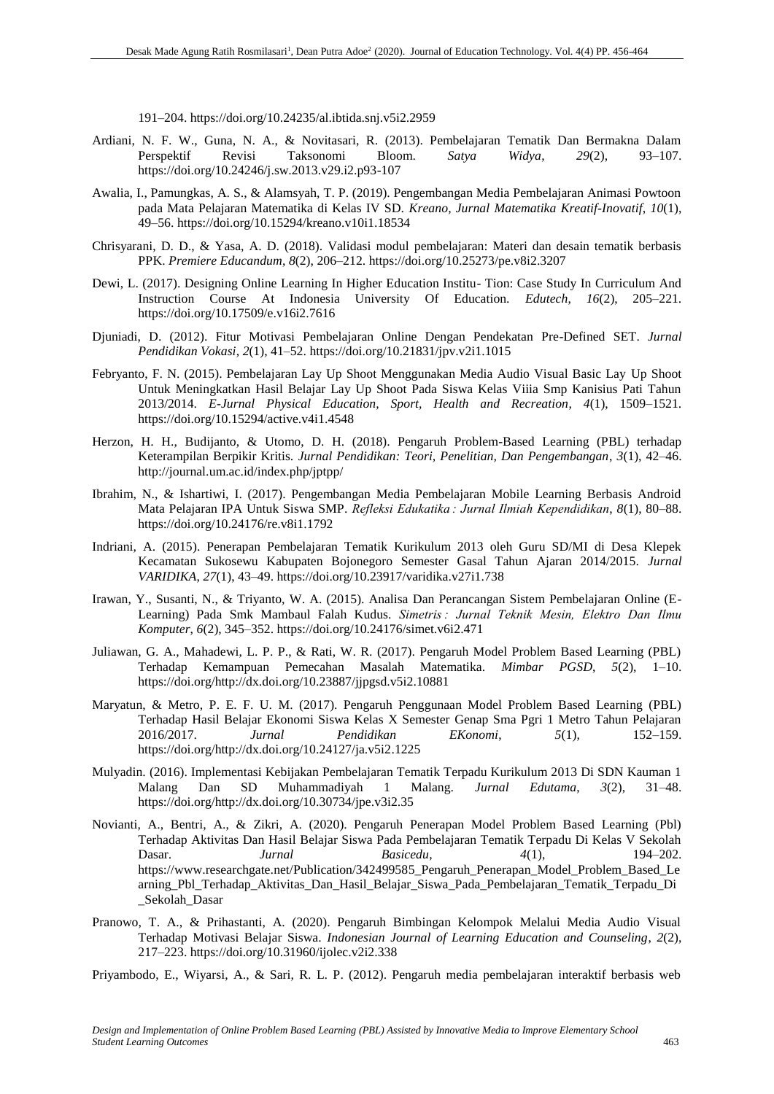191–204. https://doi.org/10.24235/al.ibtida.snj.v5i2.2959

- Ardiani, N. F. W., Guna, N. A., & Novitasari, R. (2013). Pembelajaran Tematik Dan Bermakna Dalam Perspektif Revisi Taksonomi Bloom. *Satya Widya*, *29*(2), 93–107. https://doi.org/10.24246/j.sw.2013.v29.i2.p93-107
- Awalia, I., Pamungkas, A. S., & Alamsyah, T. P. (2019). Pengembangan Media Pembelajaran Animasi Powtoon pada Mata Pelajaran Matematika di Kelas IV SD. *Kreano, Jurnal Matematika Kreatif-Inovatif*, *10*(1), 49–56. https://doi.org/10.15294/kreano.v10i1.18534
- Chrisyarani, D. D., & Yasa, A. D. (2018). Validasi modul pembelajaran: Materi dan desain tematik berbasis PPK. *Premiere Educandum*, *8*(2), 206–212. https://doi.org/10.25273/pe.v8i2.3207
- Dewi, L. (2017). Designing Online Learning In Higher Education Institu- Tion: Case Study In Curriculum And Instruction Course At Indonesia University Of Education. *Edutech*, *16*(2), 205–221. https://doi.org/10.17509/e.v16i2.7616
- Djuniadi, D. (2012). Fitur Motivasi Pembelajaran Online Dengan Pendekatan Pre-Defined SET. *Jurnal Pendidikan Vokasi*, *2*(1), 41–52. https://doi.org/10.21831/jpv.v2i1.1015
- Febryanto, F. N. (2015). Pembelajaran Lay Up Shoot Menggunakan Media Audio Visual Basic Lay Up Shoot Untuk Meningkatkan Hasil Belajar Lay Up Shoot Pada Siswa Kelas Viiia Smp Kanisius Pati Tahun 2013/2014. *E-Jurnal Physical Education, Sport, Health and Recreation*, *4*(1), 1509–1521. https://doi.org/10.15294/active.v4i1.4548
- Herzon, H. H., Budijanto, & Utomo, D. H. (2018). Pengaruh Problem-Based Learning (PBL) terhadap Keterampilan Berpikir Kritis. *Jurnal Pendidikan: Teori, Penelitian, Dan Pengembangan*, *3*(1), 42–46. http://journal.um.ac.id/index.php/jptpp/
- Ibrahim, N., & Ishartiwi, I. (2017). Pengembangan Media Pembelajaran Mobile Learning Berbasis Android Mata Pelajaran IPA Untuk Siswa SMP. *Refleksi Edukatika : Jurnal Ilmiah Kependidikan*, *8*(1), 80–88. https://doi.org/10.24176/re.v8i1.1792
- Indriani, A. (2015). Penerapan Pembelajaran Tematik Kurikulum 2013 oleh Guru SD/MI di Desa Klepek Kecamatan Sukosewu Kabupaten Bojonegoro Semester Gasal Tahun Ajaran 2014/2015. *Jurnal VARIDIKA*, *27*(1), 43–49. https://doi.org/10.23917/varidika.v27i1.738
- Irawan, Y., Susanti, N., & Triyanto, W. A. (2015). Analisa Dan Perancangan Sistem Pembelajaran Online (E-Learning) Pada Smk Mambaul Falah Kudus. *Simetris : Jurnal Teknik Mesin, Elektro Dan Ilmu Komputer*, *6*(2), 345–352. https://doi.org/10.24176/simet.v6i2.471
- Juliawan, G. A., Mahadewi, L. P. P., & Rati, W. R. (2017). Pengaruh Model Problem Based Learning (PBL) Terhadap Kemampuan Pemecahan Masalah Matematika. *Mimbar PGSD*, *5*(2), 1–10. https://doi.org/http://dx.doi.org/10.23887/jjpgsd.v5i2.10881
- Maryatun, & Metro, P. E. F. U. M. (2017). Pengaruh Penggunaan Model Problem Based Learning (PBL) Terhadap Hasil Belajar Ekonomi Siswa Kelas X Semester Genap Sma Pgri 1 Metro Tahun Pelajaran 2016/2017. *Jurnal Pendidikan EKonomi*, *5*(1), 152–159. https://doi.org/http://dx.doi.org/10.24127/ja.v5i2.1225
- Mulyadin. (2016). Implementasi Kebijakan Pembelajaran Tematik Terpadu Kurikulum 2013 Di SDN Kauman 1 Malang Dan SD Muhammadiyah 1 Malang. *Jurnal Edutama*, *3*(2), 31–48. https://doi.org/http://dx.doi.org/10.30734/jpe.v3i2.35
- Novianti, A., Bentri, A., & Zikri, A. (2020). Pengaruh Penerapan Model Problem Based Learning (Pbl) Terhadap Aktivitas Dan Hasil Belajar Siswa Pada Pembelajaran Tematik Terpadu Di Kelas V Sekolah Dasar. *Jurnal Basicedu*, *4*(1), 194–202. https://www.researchgate.net/Publication/342499585\_Pengaruh\_Penerapan\_Model\_Problem\_Based\_Le arning\_Pbl\_Terhadap\_Aktivitas\_Dan\_Hasil\_Belajar\_Siswa\_Pada\_Pembelajaran\_Tematik\_Terpadu\_Di Sekolah Dasar
- Pranowo, T. A., & Prihastanti, A. (2020). Pengaruh Bimbingan Kelompok Melalui Media Audio Visual Terhadap Motivasi Belajar Siswa. *Indonesian Journal of Learning Education and Counseling*, *2*(2), 217–223. https://doi.org/10.31960/ijolec.v2i2.338
- Priyambodo, E., Wiyarsi, A., & Sari, R. L. P. (2012). Pengaruh media pembelajaran interaktif berbasis web